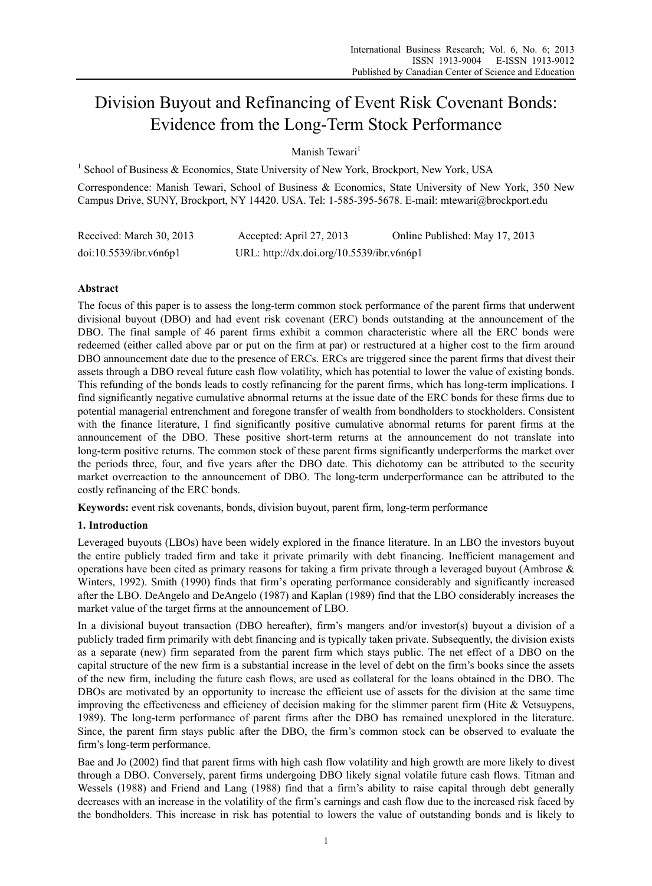# Division Buyout and Refinancing of Event Risk Covenant Bonds: Evidence from the Long-Term Stock Performance

Manish Tewari<sup>1</sup>

<sup>1</sup> School of Business & Economics, State University of New York, Brockport, New York, USA

Correspondence: Manish Tewari, School of Business & Economics, State University of New York, 350 New Campus Drive, SUNY, Brockport, NY 14420. USA. Tel: 1-585-395-5678. E-mail: mtewari@brockport.edu

| Received: March 30, 2013 | Accepted: April 27, 2013                  | Online Published: May 17, 2013 |
|--------------------------|-------------------------------------------|--------------------------------|
| doi:10.5539/ibr.v6n6p1   | URL: http://dx.doi.org/10.5539/ibr.v6n6p1 |                                |

# **Abstract**

The focus of this paper is to assess the long-term common stock performance of the parent firms that underwent divisional buyout (DBO) and had event risk covenant (ERC) bonds outstanding at the announcement of the DBO. The final sample of 46 parent firms exhibit a common characteristic where all the ERC bonds were redeemed (either called above par or put on the firm at par) or restructured at a higher cost to the firm around DBO announcement date due to the presence of ERCs. ERCs are triggered since the parent firms that divest their assets through a DBO reveal future cash flow volatility, which has potential to lower the value of existing bonds. This refunding of the bonds leads to costly refinancing for the parent firms, which has long-term implications. I find significantly negative cumulative abnormal returns at the issue date of the ERC bonds for these firms due to potential managerial entrenchment and foregone transfer of wealth from bondholders to stockholders. Consistent with the finance literature, I find significantly positive cumulative abnormal returns for parent firms at the announcement of the DBO. These positive short-term returns at the announcement do not translate into long-term positive returns. The common stock of these parent firms significantly underperforms the market over the periods three, four, and five years after the DBO date. This dichotomy can be attributed to the security market overreaction to the announcement of DBO. The long-term underperformance can be attributed to the costly refinancing of the ERC bonds.

**Keywords:** event risk covenants, bonds, division buyout, parent firm, long-term performance

# **1. Introduction**

Leveraged buyouts (LBOs) have been widely explored in the finance literature. In an LBO the investors buyout the entire publicly traded firm and take it private primarily with debt financing. Inefficient management and operations have been cited as primary reasons for taking a firm private through a leveraged buyout (Ambrose  $\&$ Winters, 1992). Smith (1990) finds that firm's operating performance considerably and significantly increased after the LBO. DeAngelo and DeAngelo (1987) and Kaplan (1989) find that the LBO considerably increases the market value of the target firms at the announcement of LBO.

In a divisional buyout transaction (DBO hereafter), firm's mangers and/or investor(s) buyout a division of a publicly traded firm primarily with debt financing and is typically taken private. Subsequently, the division exists as a separate (new) firm separated from the parent firm which stays public. The net effect of a DBO on the capital structure of the new firm is a substantial increase in the level of debt on the firm's books since the assets of the new firm, including the future cash flows, are used as collateral for the loans obtained in the DBO. The DBOs are motivated by an opportunity to increase the efficient use of assets for the division at the same time improving the effectiveness and efficiency of decision making for the slimmer parent firm (Hite & Vetsuypens, 1989). The long-term performance of parent firms after the DBO has remained unexplored in the literature. Since, the parent firm stays public after the DBO, the firm's common stock can be observed to evaluate the firm's long-term performance.

Bae and Jo (2002) find that parent firms with high cash flow volatility and high growth are more likely to divest through a DBO. Conversely, parent firms undergoing DBO likely signal volatile future cash flows. Titman and Wessels (1988) and Friend and Lang (1988) find that a firm's ability to raise capital through debt generally decreases with an increase in the volatility of the firm's earnings and cash flow due to the increased risk faced by the bondholders. This increase in risk has potential to lowers the value of outstanding bonds and is likely to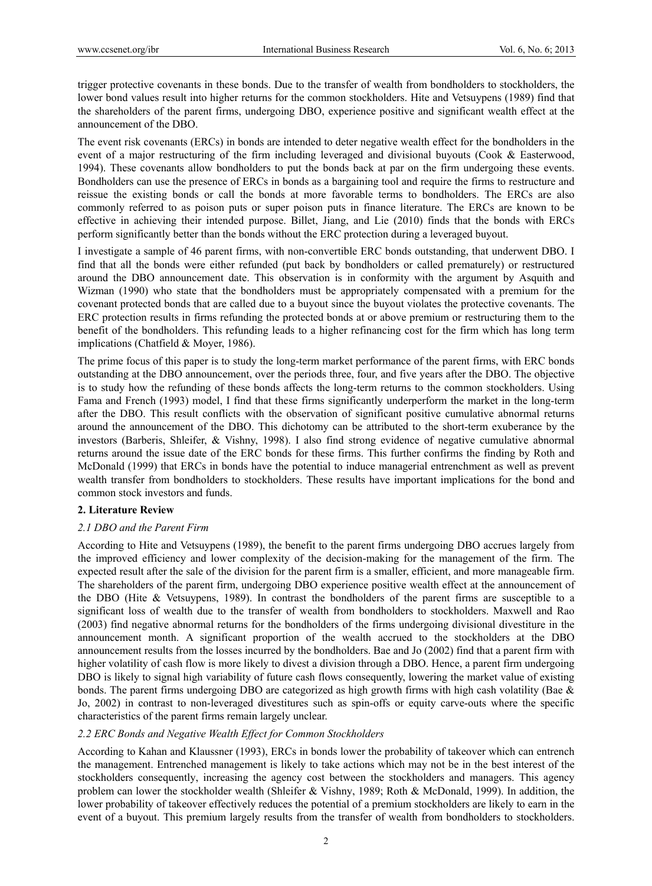trigger protective covenants in these bonds. Due to the transfer of wealth from bondholders to stockholders, the lower bond values result into higher returns for the common stockholders. Hite and Vetsuypens (1989) find that the shareholders of the parent firms, undergoing DBO, experience positive and significant wealth effect at the announcement of the DBO.

The event risk covenants (ERCs) in bonds are intended to deter negative wealth effect for the bondholders in the event of a major restructuring of the firm including leveraged and divisional buyouts (Cook & Easterwood, 1994). These covenants allow bondholders to put the bonds back at par on the firm undergoing these events. Bondholders can use the presence of ERCs in bonds as a bargaining tool and require the firms to restructure and reissue the existing bonds or call the bonds at more favorable terms to bondholders. The ERCs are also commonly referred to as poison puts or super poison puts in finance literature. The ERCs are known to be effective in achieving their intended purpose. Billet, Jiang, and Lie (2010) finds that the bonds with ERCs perform significantly better than the bonds without the ERC protection during a leveraged buyout.

I investigate a sample of 46 parent firms, with non-convertible ERC bonds outstanding, that underwent DBO. I find that all the bonds were either refunded (put back by bondholders or called prematurely) or restructured around the DBO announcement date. This observation is in conformity with the argument by Asquith and Wizman (1990) who state that the bondholders must be appropriately compensated with a premium for the covenant protected bonds that are called due to a buyout since the buyout violates the protective covenants. The ERC protection results in firms refunding the protected bonds at or above premium or restructuring them to the benefit of the bondholders. This refunding leads to a higher refinancing cost for the firm which has long term implications (Chatfield & Moyer, 1986).

The prime focus of this paper is to study the long-term market performance of the parent firms, with ERC bonds outstanding at the DBO announcement, over the periods three, four, and five years after the DBO. The objective is to study how the refunding of these bonds affects the long-term returns to the common stockholders. Using Fama and French (1993) model, I find that these firms significantly underperform the market in the long-term after the DBO. This result conflicts with the observation of significant positive cumulative abnormal returns around the announcement of the DBO. This dichotomy can be attributed to the short-term exuberance by the investors (Barberis, Shleifer, & Vishny, 1998). I also find strong evidence of negative cumulative abnormal returns around the issue date of the ERC bonds for these firms. This further confirms the finding by Roth and McDonald (1999) that ERCs in bonds have the potential to induce managerial entrenchment as well as prevent wealth transfer from bondholders to stockholders. These results have important implications for the bond and common stock investors and funds.

# **2. Literature Review**

# *2.1 DBO and the Parent Firm*

According to Hite and Vetsuypens (1989), the benefit to the parent firms undergoing DBO accrues largely from the improved efficiency and lower complexity of the decision-making for the management of the firm. The expected result after the sale of the division for the parent firm is a smaller, efficient, and more manageable firm. The shareholders of the parent firm, undergoing DBO experience positive wealth effect at the announcement of the DBO (Hite & Vetsuypens, 1989). In contrast the bondholders of the parent firms are susceptible to a significant loss of wealth due to the transfer of wealth from bondholders to stockholders. Maxwell and Rao (2003) find negative abnormal returns for the bondholders of the firms undergoing divisional divestiture in the announcement month. A significant proportion of the wealth accrued to the stockholders at the DBO announcement results from the losses incurred by the bondholders. Bae and Jo (2002) find that a parent firm with higher volatility of cash flow is more likely to divest a division through a DBO. Hence, a parent firm undergoing DBO is likely to signal high variability of future cash flows consequently, lowering the market value of existing bonds. The parent firms undergoing DBO are categorized as high growth firms with high cash volatility (Bae & Jo, 2002) in contrast to non-leveraged divestitures such as spin-offs or equity carve-outs where the specific characteristics of the parent firms remain largely unclear.

# *2.2 ERC Bonds and Negative Wealth Effect for Common Stockholders*

According to Kahan and Klaussner (1993), ERCs in bonds lower the probability of takeover which can entrench the management. Entrenched management is likely to take actions which may not be in the best interest of the stockholders consequently, increasing the agency cost between the stockholders and managers. This agency problem can lower the stockholder wealth (Shleifer & Vishny, 1989; Roth & McDonald, 1999). In addition, the lower probability of takeover effectively reduces the potential of a premium stockholders are likely to earn in the event of a buyout. This premium largely results from the transfer of wealth from bondholders to stockholders.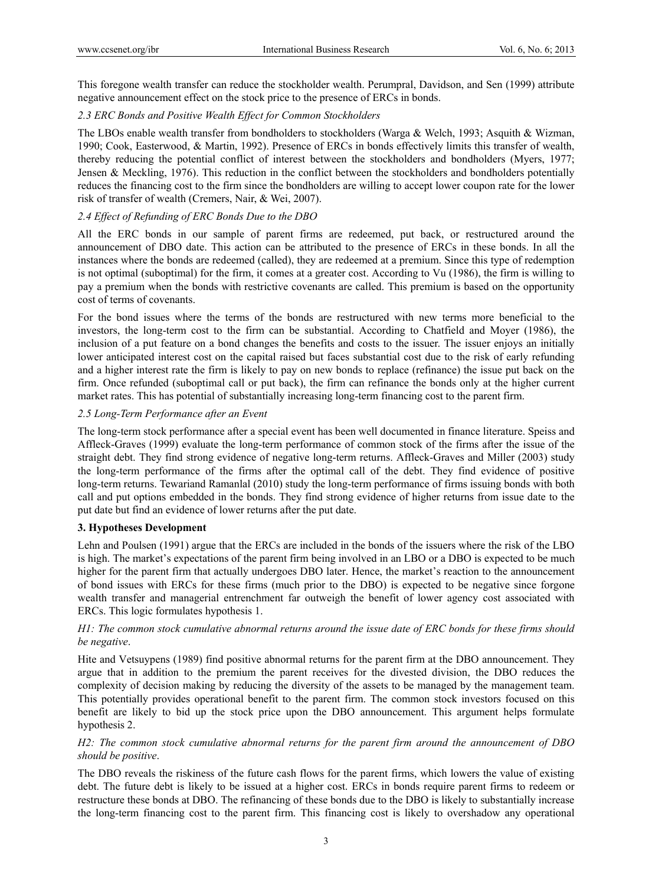This foregone wealth transfer can reduce the stockholder wealth. Perumpral, Davidson, and Sen (1999) attribute negative announcement effect on the stock price to the presence of ERCs in bonds.

#### *2.3 ERC Bonds and Positive Wealth Effect for Common Stockholders*

The LBOs enable wealth transfer from bondholders to stockholders (Warga & Welch, 1993; Asquith & Wizman, 1990; Cook, Easterwood, & Martin, 1992). Presence of ERCs in bonds effectively limits this transfer of wealth, thereby reducing the potential conflict of interest between the stockholders and bondholders (Myers, 1977; Jensen & Meckling, 1976). This reduction in the conflict between the stockholders and bondholders potentially reduces the financing cost to the firm since the bondholders are willing to accept lower coupon rate for the lower risk of transfer of wealth (Cremers, Nair, & Wei, 2007).

# *2.4 Effect of Refunding of ERC Bonds Due to the DBO*

All the ERC bonds in our sample of parent firms are redeemed, put back, or restructured around the announcement of DBO date. This action can be attributed to the presence of ERCs in these bonds. In all the instances where the bonds are redeemed (called), they are redeemed at a premium. Since this type of redemption is not optimal (suboptimal) for the firm, it comes at a greater cost. According to Vu (1986), the firm is willing to pay a premium when the bonds with restrictive covenants are called. This premium is based on the opportunity cost of terms of covenants.

For the bond issues where the terms of the bonds are restructured with new terms more beneficial to the investors, the long-term cost to the firm can be substantial. According to Chatfield and Moyer (1986), the inclusion of a put feature on a bond changes the benefits and costs to the issuer. The issuer enjoys an initially lower anticipated interest cost on the capital raised but faces substantial cost due to the risk of early refunding and a higher interest rate the firm is likely to pay on new bonds to replace (refinance) the issue put back on the firm. Once refunded (suboptimal call or put back), the firm can refinance the bonds only at the higher current market rates. This has potential of substantially increasing long-term financing cost to the parent firm.

## *2.5 Long-Term Performance after an Event*

The long-term stock performance after a special event has been well documented in finance literature. Speiss and Affleck-Graves (1999) evaluate the long-term performance of common stock of the firms after the issue of the straight debt. They find strong evidence of negative long-term returns. Affleck-Graves and Miller (2003) study the long-term performance of the firms after the optimal call of the debt. They find evidence of positive long-term returns. Tewariand Ramanlal (2010) study the long-term performance of firms issuing bonds with both call and put options embedded in the bonds. They find strong evidence of higher returns from issue date to the put date but find an evidence of lower returns after the put date.

#### **3. Hypotheses Development**

Lehn and Poulsen (1991) argue that the ERCs are included in the bonds of the issuers where the risk of the LBO is high. The market's expectations of the parent firm being involved in an LBO or a DBO is expected to be much higher for the parent firm that actually undergoes DBO later. Hence, the market's reaction to the announcement of bond issues with ERCs for these firms (much prior to the DBO) is expected to be negative since forgone wealth transfer and managerial entrenchment far outweigh the benefit of lower agency cost associated with ERCs. This logic formulates hypothesis 1.

## *H1: The common stock cumulative abnormal returns around the issue date of ERC bonds for these firms should be negative*.

Hite and Vetsuypens (1989) find positive abnormal returns for the parent firm at the DBO announcement. They argue that in addition to the premium the parent receives for the divested division, the DBO reduces the complexity of decision making by reducing the diversity of the assets to be managed by the management team. This potentially provides operational benefit to the parent firm. The common stock investors focused on this benefit are likely to bid up the stock price upon the DBO announcement. This argument helps formulate hypothesis 2.

## *H2: The common stock cumulative abnormal returns for the parent firm around the announcement of DBO should be positive*.

The DBO reveals the riskiness of the future cash flows for the parent firms, which lowers the value of existing debt. The future debt is likely to be issued at a higher cost. ERCs in bonds require parent firms to redeem or restructure these bonds at DBO. The refinancing of these bonds due to the DBO is likely to substantially increase the long-term financing cost to the parent firm. This financing cost is likely to overshadow any operational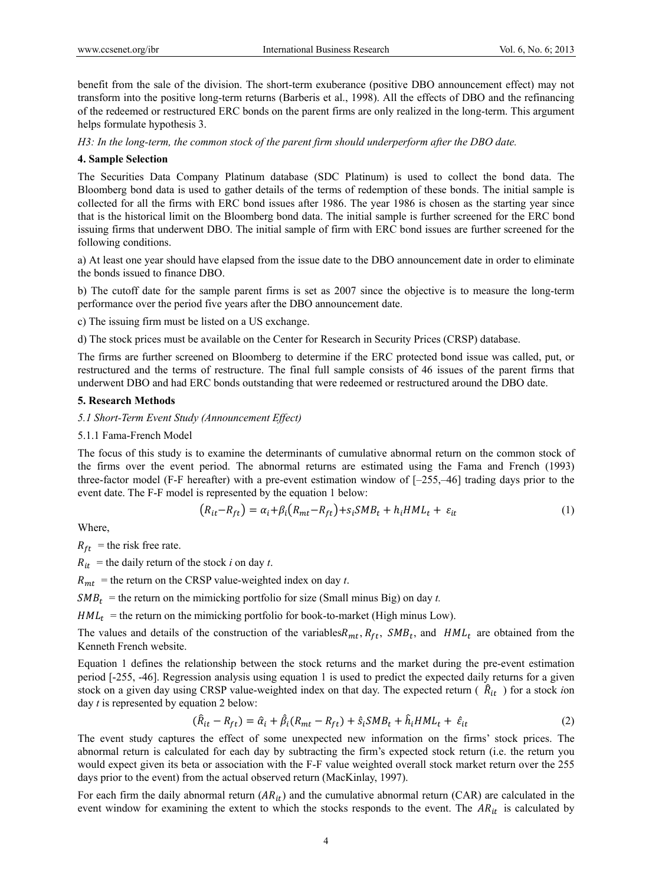benefit from the sale of the division. The short-term exuberance (positive DBO announcement effect) may not transform into the positive long-term returns (Barberis et al., 1998). All the effects of DBO and the refinancing of the redeemed or restructured ERC bonds on the parent firms are only realized in the long-term. This argument helps formulate hypothesis 3.

*H3: In the long-term, the common stock of the parent firm should underperform after the DBO date.* 

## **4. Sample Selection**

The Securities Data Company Platinum database (SDC Platinum) is used to collect the bond data. The Bloomberg bond data is used to gather details of the terms of redemption of these bonds. The initial sample is collected for all the firms with ERC bond issues after 1986. The year 1986 is chosen as the starting year since that is the historical limit on the Bloomberg bond data. The initial sample is further screened for the ERC bond issuing firms that underwent DBO. The initial sample of firm with ERC bond issues are further screened for the following conditions.

a) At least one year should have elapsed from the issue date to the DBO announcement date in order to eliminate the bonds issued to finance DBO.

b) The cutoff date for the sample parent firms is set as 2007 since the objective is to measure the long-term performance over the period five years after the DBO announcement date.

c) The issuing firm must be listed on a US exchange.

d) The stock prices must be available on the Center for Research in Security Prices (CRSP) database.

The firms are further screened on Bloomberg to determine if the ERC protected bond issue was called, put, or restructured and the terms of restructure. The final full sample consists of 46 issues of the parent firms that underwent DBO and had ERC bonds outstanding that were redeemed or restructured around the DBO date.

## **5. Research Methods**

## *5.1 Short-Term Event Study (Announcement Effect)*

#### 5.1.1 Fama-French Model

The focus of this study is to examine the determinants of cumulative abnormal return on the common stock of the firms over the event period. The abnormal returns are estimated using the Fama and French (1993) three-factor model (F-F hereafter) with a pre-event estimation window of [–255,–46] trading days prior to the event date. The F-F model is represented by the equation 1 below:

$$
(R_{it} - R_{ft}) = \alpha_i + \beta_i (R_{mt} - R_{ft}) + s_i S M B_t + h_i H M L_t + \varepsilon_{it}
$$
\n<sup>(1)</sup>

Where,

 $R_{ft}$  = the risk free rate.

 $R_{it}$  = the daily return of the stock *i* on day *t*.

 $R_{mt}$  = the return on the CRSP value-weighted index on day *t*.

 $SMB_t$  = the return on the mimicking portfolio for size (Small minus Big) on day *t*.

 $HML_t$  = the return on the mimicking portfolio for book-to-market (High minus Low).

The values and details of the construction of the variables  $R_{mt}$ ,  $R_{ft}$ ,  $SMB_t$ , and  $HML_t$  are obtained from the Kenneth French website.

Equation 1 defines the relationship between the stock returns and the market during the pre-event estimation period [-255, -46]. Regression analysis using equation 1 is used to predict the expected daily returns for a given stock on a given day using CRSP value-weighted index on that day. The expected return  $(R_{it})$  for a stock *ion* day *t* is represented by equation 2 below:

$$
(\hat{R}_{it} - R_{ft}) = \hat{\alpha}_i + \hat{\beta}_i (R_{mt} - R_{ft}) + \hat{s}_i S M B_t + \hat{h}_i H M L_t + \hat{\varepsilon}_{it}
$$
\n(2)

The event study captures the effect of some unexpected new information on the firms' stock prices. The abnormal return is calculated for each day by subtracting the firm's expected stock return (i.e. the return you would expect given its beta or association with the F-F value weighted overall stock market return over the 255 days prior to the event) from the actual observed return (MacKinlay, 1997).

For each firm the daily abnormal return  $(AR_{it})$  and the cumulative abnormal return (CAR) are calculated in the event window for examining the extent to which the stocks responds to the event. The  $AR_{it}$  is calculated by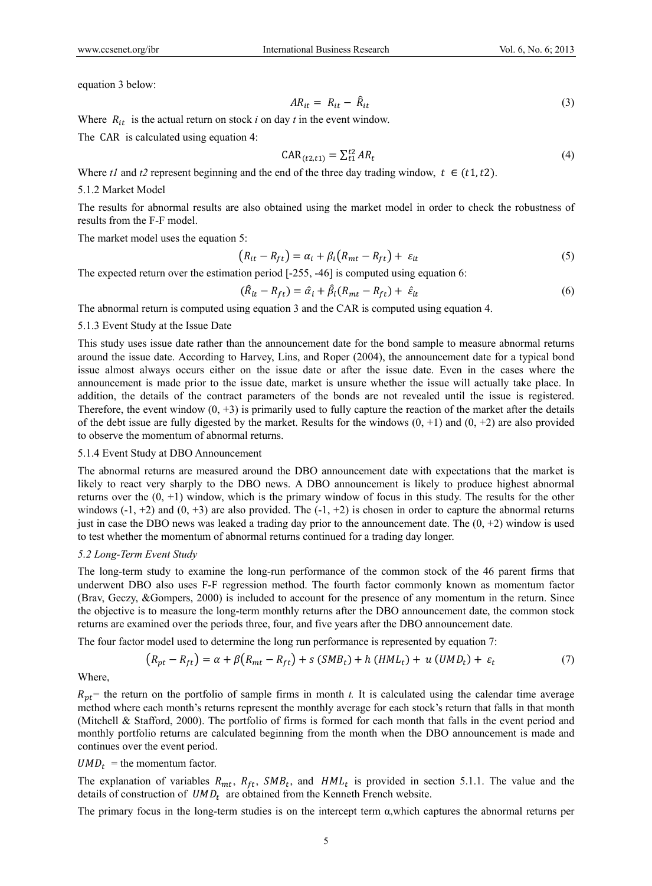equation 3 below:

$$
AR_{it} = R_{it} - \hat{R}_{it} \tag{3}
$$

Where  $R_{it}$  is the actual return on stock *i* on day *t* in the event window.

The CAR is calculated using equation 4:

$$
CAR_{(t2,t1)} = \sum_{t1}^{t2} AR_t
$$
\n
$$
(4)
$$

Where  $t \cdot l$  and  $t \cdot l$  represent beginning and the end of the three day trading window,  $t \in (t \cdot 1, t \cdot 2)$ .

#### 5.1.2 Market Model

The results for abnormal results are also obtained using the market model in order to check the robustness of results from the F-F model.

The market model uses the equation 5:

$$
(R_{it} - R_{ft}) = \alpha_i + \beta_i (R_{mt} - R_{ft}) + \varepsilon_{it}
$$
\n<sup>(5)</sup>

The expected return over the estimation period [-255, -46] is computed using equation 6:

$$
(\hat{R}_{it} - R_{ft}) = \hat{\alpha}_i + \hat{\beta}_i (R_{mt} - R_{ft}) + \hat{\varepsilon}_{it}
$$
\n
$$
\tag{6}
$$

The abnormal return is computed using equation 3 and the CAR is computed using equation 4.

#### 5.1.3 Event Study at the Issue Date

This study uses issue date rather than the announcement date for the bond sample to measure abnormal returns around the issue date. According to Harvey, Lins, and Roper (2004), the announcement date for a typical bond issue almost always occurs either on the issue date or after the issue date. Even in the cases where the announcement is made prior to the issue date, market is unsure whether the issue will actually take place. In addition, the details of the contract parameters of the bonds are not revealed until the issue is registered. Therefore, the event window  $(0, +3)$  is primarily used to fully capture the reaction of the market after the details of the debt issue are fully digested by the market. Results for the windows  $(0, +1)$  and  $(0, +2)$  are also provided to observe the momentum of abnormal returns.

#### 5.1.4 Event Study at DBO Announcement

The abnormal returns are measured around the DBO announcement date with expectations that the market is likely to react very sharply to the DBO news. A DBO announcement is likely to produce highest abnormal returns over the  $(0, +1)$  window, which is the primary window of focus in this study. The results for the other windows  $(-1, +2)$  and  $(0, +3)$  are also provided. The  $(-1, +2)$  is chosen in order to capture the abnormal returns just in case the DBO news was leaked a trading day prior to the announcement date. The  $(0, +2)$  window is used to test whether the momentum of abnormal returns continued for a trading day longer.

#### *5.2 Long-Term Event Study*

The long-term study to examine the long-run performance of the common stock of the 46 parent firms that underwent DBO also uses F-F regression method. The fourth factor commonly known as momentum factor (Brav, Geczy, &Gompers, 2000) is included to account for the presence of any momentum in the return. Since the objective is to measure the long-term monthly returns after the DBO announcement date, the common stock returns are examined over the periods three, four, and five years after the DBO announcement date.

The four factor model used to determine the long run performance is represented by equation 7:

$$
(R_{pt} - R_{ft}) = \alpha + \beta (R_{mt} - R_{ft}) + s (SMB_t) + h (HML_t) + u (UMD_t) + \varepsilon_t
$$
\n
$$
\tag{7}
$$

Where,

 $R_{pt}$ = the return on the portfolio of sample firms in month *t*. It is calculated using the calendar time average method where each month's returns represent the monthly average for each stock's return that falls in that month (Mitchell & Stafford, 2000). The portfolio of firms is formed for each month that falls in the event period and monthly portfolio returns are calculated beginning from the month when the DBO announcement is made and continues over the event period.

#### $UMD_t =$  the momentum factor.

The explanation of variables  $R_{mt}$ ,  $R_{ft}$ ,  $SMB_t$ , and  $HML_t$  is provided in section 5.1.1. The value and the details of construction of  $UMD<sub>t</sub>$  are obtained from the Kenneth French website.

The primary focus in the long-term studies is on the intercept term  $\alpha$ , which captures the abnormal returns per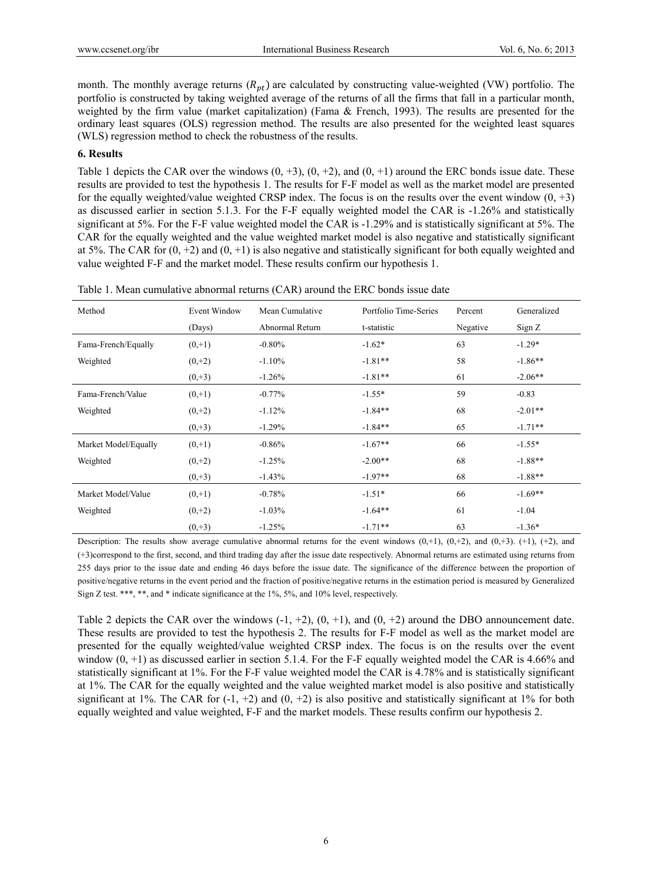month. The monthly average returns  $(R_{pt})$  are calculated by constructing value-weighted (VW) portfolio. The portfolio is constructed by taking weighted average of the returns of all the firms that fall in a particular month, weighted by the firm value (market capitalization) (Fama & French, 1993). The results are presented for the ordinary least squares (OLS) regression method. The results are also presented for the weighted least squares (WLS) regression method to check the robustness of the results.

#### **6. Results**

Table 1 depicts the CAR over the windows  $(0, +3)$ ,  $(0, +2)$ , and  $(0, +1)$  around the ERC bonds issue date. These results are provided to test the hypothesis 1. The results for F-F model as well as the market model are presented for the equally weighted/value weighted CRSP index. The focus is on the results over the event window  $(0, +3)$ as discussed earlier in section 5.1.3. For the F-F equally weighted model the CAR is -1.26% and statistically significant at 5%. For the F-F value weighted model the CAR is -1.29% and is statistically significant at 5%. The CAR for the equally weighted and the value weighted market model is also negative and statistically significant at 5%. The CAR for  $(0, +2)$  and  $(0, +1)$  is also negative and statistically significant for both equally weighted and value weighted F-F and the market model. These results confirm our hypothesis 1.

| Method               | <b>Event Window</b> | Mean Cumulative | Portfolio Time-Series | Percent  | Generalized |
|----------------------|---------------------|-----------------|-----------------------|----------|-------------|
|                      | (Days)              | Abnormal Return | t-statistic           | Negative | Sign Z      |
| Fama-French/Equally  | $(0, +1)$           | $-0.80%$        | $-1.62*$              | 63       | $-1.29*$    |
| Weighted             | $(0, +2)$           | $-1.10%$        | $-1.81**$             | 58       | $-1.86**$   |
|                      | $(0, +3)$           | $-1.26%$        | $-1.81**$             | 61       | $-2.06**$   |
| Fama-French/Value    | $(0, +1)$           | $-0.77%$        | $-1.55*$              | 59       | $-0.83$     |
| Weighted             | $(0, +2)$           | $-1.12%$        | $-1.84**$             | 68       | $-2.01**$   |
|                      | $(0, +3)$           | $-1.29%$        | $-1.84**$             | 65       | $-1.71**$   |
| Market Model/Equally | $(0, +1)$           | $-0.86%$        | $-1.67**$             | 66       | $-1.55*$    |
| Weighted             | $(0, +2)$           | $-1.25%$        | $-2.00**$             | 68       | $-1.88**$   |
|                      | $(0, +3)$           | $-1.43%$        | $-1.97**$             | 68       | $-1.88**$   |
| Market Model/Value   | $(0, +1)$           | $-0.78%$        | $-1.51*$              | 66       | $-1.69**$   |
| Weighted             | $(0, +2)$           | $-1.03%$        | $-1.64**$             | 61       | $-1.04$     |
|                      | $(0, +3)$           | $-1.25%$        | $-1.71**$             | 63       | $-1.36*$    |

Table 1. Mean cumulative abnormal returns (CAR) around the ERC bonds issue date

Description: The results show average cumulative abnormal returns for the event windows  $(0, +1)$ ,  $(0, +2)$ , and  $(0, +3)$ ,  $(0, +1)$ ,  $(0, +2)$ , and (+3)correspond to the first, second, and third trading day after the issue date respectively. Abnormal returns are estimated using returns from 255 days prior to the issue date and ending 46 days before the issue date. The significance of the difference between the proportion of positive/negative returns in the event period and the fraction of positive/negative returns in the estimation period is measured by Generalized Sign Z test. \*\*\*, \*\*, and \* indicate significance at the 1%, 5%, and 10% level, respectively.

Table 2 depicts the CAR over the windows  $(-1, +2)$ ,  $(0, +1)$ , and  $(0, +2)$  around the DBO announcement date. These results are provided to test the hypothesis 2. The results for F-F model as well as the market model are presented for the equally weighted/value weighted CRSP index. The focus is on the results over the event window  $(0, +1)$  as discussed earlier in section 5.1.4. For the F-F equally weighted model the CAR is 4.66% and statistically significant at 1%. For the F-F value weighted model the CAR is 4.78% and is statistically significant at 1%. The CAR for the equally weighted and the value weighted market model is also positive and statistically significant at 1%. The CAR for  $(-1, +2)$  and  $(0, +2)$  is also positive and statistically significant at 1% for both equally weighted and value weighted, F-F and the market models. These results confirm our hypothesis 2.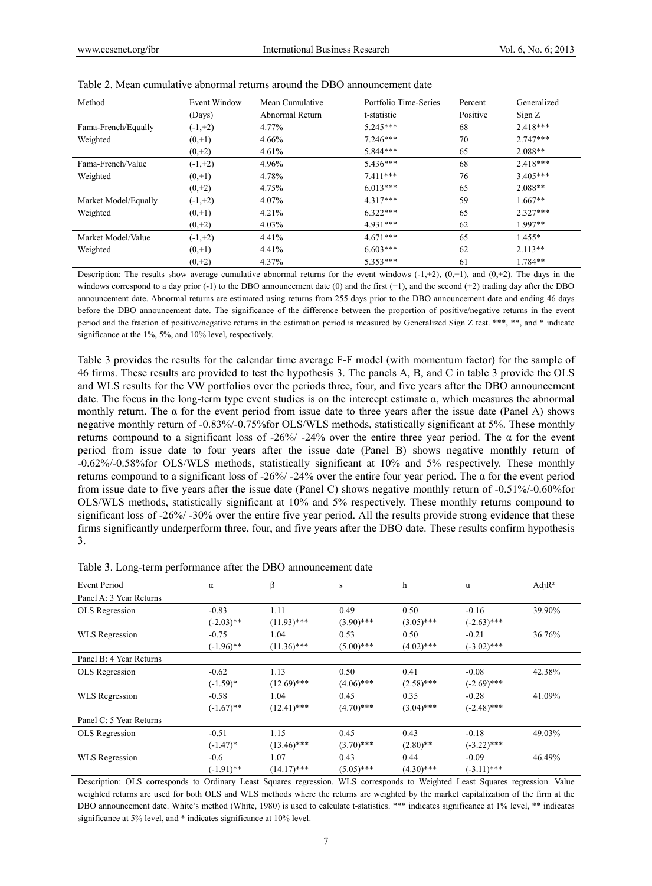| Method               | Event Window | Mean Cumulative | Portfolio Time-Series | Percent  | Generalized |
|----------------------|--------------|-----------------|-----------------------|----------|-------------|
|                      | (Days)       | Abnormal Return | t-statistic           | Positive | Sign Z      |
| Fama-French/Equally  | $(-1,+2)$    | 4.77%           | $5.245***$            | 68       | $2.418***$  |
| Weighted             | $(0, +1)$    | 4.66%           | $7.246***$            | 70       | $2.747***$  |
|                      | $(0, +2)$    | 4.61%           | 5.844***              | 65       | $2.088**$   |
| Fama-French/Value    | $(-1,+2)$    | 4.96%           | $5.436***$            | 68       | $2.418***$  |
| Weighted             | $(0, +1)$    | 4.78%           | $7.411***$            | 76       | $3.405***$  |
|                      | $(0, +2)$    | 4.75%           | $6.013***$            | 65       | $2.088**$   |
| Market Model/Equally | $(-1,+2)$    | 4.07%           | $4.317***$            | 59       | $1.667**$   |
| Weighted             | $(0, +1)$    | 4.21%           | $6.322***$            | 65       | $2.327***$  |
|                      | $(0, +2)$    | 4.03%           | $4.931***$            | 62       | $1.997**$   |
| Market Model/Value   | $(-1,+2)$    | 4.41%           | $4.671***$            | 65       | $1.455*$    |
| Weighted             | $(0, +1)$    | 4.41%           | $6.603***$            | 62       | $2.113**$   |
|                      | $(0, +2)$    | 4.37%           | $5.353***$            | 61       | $1.784**$   |

Table 2. Mean cumulative abnormal returns around the DBO announcement date

Description: The results show average cumulative abnormal returns for the event windows  $(-1, +2)$ ,  $(0, +1)$ , and  $(0, +2)$ . The days in the windows correspond to a day prior  $(-1)$  to the DBO announcement date (0) and the first  $(+1)$ , and the second  $(+2)$  trading day after the DBO announcement date. Abnormal returns are estimated using returns from 255 days prior to the DBO announcement date and ending 46 days before the DBO announcement date. The significance of the difference between the proportion of positive/negative returns in the event period and the fraction of positive/negative returns in the estimation period is measured by Generalized Sign Z test. \*\*\*, \*\*, and \* indicate significance at the 1%, 5%, and 10% level, respectively.

Table 3 provides the results for the calendar time average F-F model (with momentum factor) for the sample of 46 firms. These results are provided to test the hypothesis 3. The panels A, B, and C in table 3 provide the OLS and WLS results for the VW portfolios over the periods three, four, and five years after the DBO announcement date. The focus in the long-term type event studies is on the intercept estimate  $\alpha$ , which measures the abnormal monthly return. The  $\alpha$  for the event period from issue date to three years after the issue date (Panel A) shows negative monthly return of -0.83%/-0.75%for OLS/WLS methods, statistically significant at 5%. These monthly returns compound to a significant loss of -26%/ -24% over the entire three year period. The α for the event period from issue date to four years after the issue date (Panel B) shows negative monthly return of -0.62%/-0.58%for OLS/WLS methods, statistically significant at 10% and 5% respectively. These monthly returns compound to a significant loss of -26%/ -24% over the entire four year period. The α for the event period from issue date to five years after the issue date (Panel C) shows negative monthly return of -0.51%/-0.60%for OLS/WLS methods, statistically significant at 10% and 5% respectively. These monthly returns compound to significant loss of -26%/ -30% over the entire five year period. All the results provide strong evidence that these firms significantly underperform three, four, and five years after the DBO date. These results confirm hypothesis 3.

| <b>Event Period</b>     | $\alpha$     | ß             | s            | h            | u             | AdjR <sup>2</sup> |
|-------------------------|--------------|---------------|--------------|--------------|---------------|-------------------|
| Panel A: 3 Year Returns |              |               |              |              |               |                   |
| OLS Regression          | $-0.83$      | 1.11          | 0.49         | 0.50         | $-0.16$       | 39.90%            |
|                         | $(-2.03)$ ** | $(11.93)$ *** | $(3.90)$ *** | $(3.05)$ *** | $(-2.63)$ *** |                   |
| WLS Regression          | $-0.75$      | 1.04          | 0.53         | 0.50         | $-0.21$       | 36.76%            |
|                         | $(-1.96)$ ** | $(11.36)$ *** | $(5.00)$ *** | $(4.02)$ *** | $(-3.02)$ *** |                   |
| Panel B: 4 Year Returns |              |               |              |              |               |                   |
| OLS Regression          | $-0.62$      | 1.13          | 0.50         | 0.41         | $-0.08$       | 42.38%            |
|                         | $(-1.59)*$   | $(12.69)$ *** | $(4.06)$ *** | $(2.58)$ *** | $(-2.69)$ *** |                   |
| WLS Regression          | $-0.58$      | 1.04          | 0.45         | 0.35         | $-0.28$       | 41.09%            |
|                         | $(-1.67)$ ** | $(12.41)$ *** | $(4.70)$ *** | $(3.04)$ *** | $(-2.48)$ *** |                   |
| Panel C: 5 Year Returns |              |               |              |              |               |                   |
| OLS Regression          | $-0.51$      | 1.15          | 0.45         | 0.43         | $-0.18$       | 49.03%            |
|                         | $(-1.47)$ *  | $(13.46)$ *** | $(3.70)$ *** | $(2.80)$ **  | $(-3.22)$ *** |                   |
| WLS Regression          | $-0.6$       | 1.07          | 0.43         | 0.44         | $-0.09$       | 46.49%            |
|                         | $(-1.91)$ ** | $(14.17)$ *** | $(5.05)$ *** | $(4.30)$ *** | $(-3.11)$ *** |                   |

Table 3. Long-term performance after the DBO announcement date

Description: OLS corresponds to Ordinary Least Squares regression. WLS corresponds to Weighted Least Squares regression. Value weighted returns are used for both OLS and WLS methods where the returns are weighted by the market capitalization of the firm at the DBO announcement date. White's method (White, 1980) is used to calculate t-statistics. \*\*\* indicates significance at 1% level, \*\* indicates significance at 5% level, and \* indicates significance at 10% level.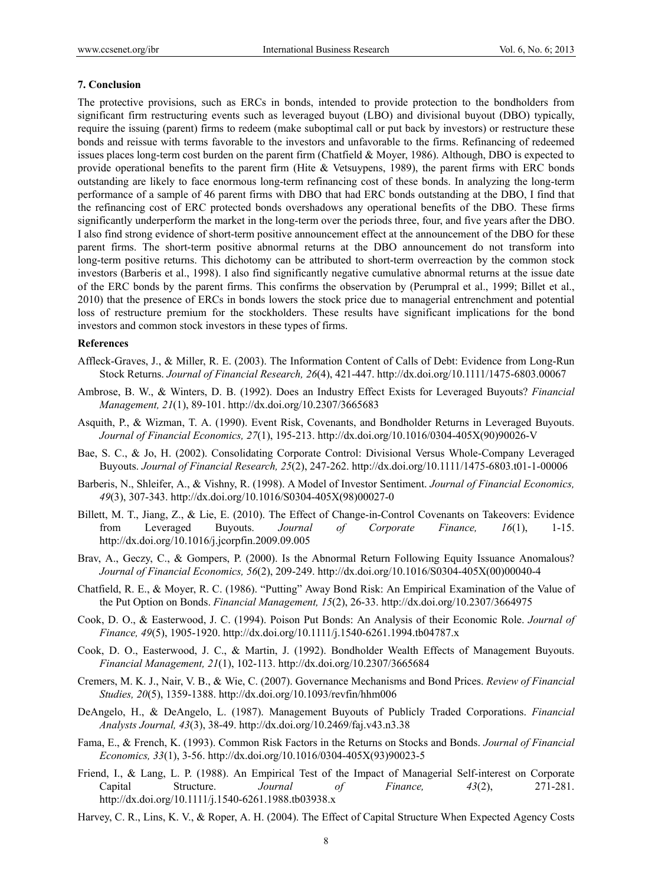#### **7. Conclusion**

The protective provisions, such as ERCs in bonds, intended to provide protection to the bondholders from significant firm restructuring events such as leveraged buyout (LBO) and divisional buyout (DBO) typically, require the issuing (parent) firms to redeem (make suboptimal call or put back by investors) or restructure these bonds and reissue with terms favorable to the investors and unfavorable to the firms. Refinancing of redeemed issues places long-term cost burden on the parent firm (Chatfield & Moyer, 1986). Although, DBO is expected to provide operational benefits to the parent firm (Hite & Vetsuypens, 1989), the parent firms with ERC bonds outstanding are likely to face enormous long-term refinancing cost of these bonds. In analyzing the long-term performance of a sample of 46 parent firms with DBO that had ERC bonds outstanding at the DBO, I find that the refinancing cost of ERC protected bonds overshadows any operational benefits of the DBO. These firms significantly underperform the market in the long-term over the periods three, four, and five years after the DBO. I also find strong evidence of short-term positive announcement effect at the announcement of the DBO for these parent firms. The short-term positive abnormal returns at the DBO announcement do not transform into long-term positive returns. This dichotomy can be attributed to short-term overreaction by the common stock investors (Barberis et al., 1998). I also find significantly negative cumulative abnormal returns at the issue date of the ERC bonds by the parent firms. This confirms the observation by (Perumpral et al., 1999; Billet et al., 2010) that the presence of ERCs in bonds lowers the stock price due to managerial entrenchment and potential loss of restructure premium for the stockholders. These results have significant implications for the bond investors and common stock investors in these types of firms.

#### **References**

- Affleck-Graves, J., & Miller, R. E. (2003). The Information Content of Calls of Debt: Evidence from Long-Run Stock Returns. *Journal of Financial Research, 26*(4), 421-447. http://dx.doi.org/10.1111/1475-6803.00067
- Ambrose, B. W., & Winters, D. B. (1992). Does an Industry Effect Exists for Leveraged Buyouts? *Financial Management, 21*(1), 89-101. http://dx.doi.org/10.2307/3665683
- Asquith, P., & Wizman, T. A. (1990). Event Risk, Covenants, and Bondholder Returns in Leveraged Buyouts. *Journal of Financial Economics, 27*(1), 195-213. http://dx.doi.org/10.1016/0304-405X(90)90026-V
- Bae, S. C., & Jo, H. (2002). Consolidating Corporate Control: Divisional Versus Whole-Company Leveraged Buyouts. *Journal of Financial Research, 25*(2), 247-262. http://dx.doi.org/10.1111/1475-6803.t01-1-00006
- Barberis, N., Shleifer, A., & Vishny, R. (1998). A Model of Investor Sentiment. *Journal of Financial Economics, 49*(3), 307-343. http://dx.doi.org/10.1016/S0304-405X(98)00027-0
- Billett, M. T., Jiang, Z., & Lie, E. (2010). The Effect of Change-in-Control Covenants on Takeovers: Evidence from Leveraged Buyouts. *Journal of Corporate Finance, 16*(1), 1-15. http://dx.doi.org/10.1016/j.jcorpfin.2009.09.005
- Brav, A., Geczy, C., & Gompers, P. (2000). Is the Abnormal Return Following Equity Issuance Anomalous? *Journal of Financial Economics, 56*(2), 209-249. http://dx.doi.org/10.1016/S0304-405X(00)00040-4
- Chatfield, R. E., & Moyer, R. C. (1986). "Putting" Away Bond Risk: An Empirical Examination of the Value of the Put Option on Bonds. *Financial Management, 15*(2), 26-33. http://dx.doi.org/10.2307/3664975
- Cook, D. O., & Easterwood, J. C. (1994). Poison Put Bonds: An Analysis of their Economic Role. *Journal of Finance, 49*(5), 1905-1920. http://dx.doi.org/10.1111/j.1540-6261.1994.tb04787.x
- Cook, D. O., Easterwood, J. C., & Martin, J. (1992). Bondholder Wealth Effects of Management Buyouts. *Financial Management, 21*(1), 102-113. http://dx.doi.org/10.2307/3665684
- Cremers, M. K. J., Nair, V. B., & Wie, C. (2007). Governance Mechanisms and Bond Prices. *Review of Financial Studies, 20*(5), 1359-1388. http://dx.doi.org/10.1093/revfin/hhm006
- DeAngelo, H., & DeAngelo, L. (1987). Management Buyouts of Publicly Traded Corporations. *Financial Analysts Journal, 43*(3), 38-49. http://dx.doi.org/10.2469/faj.v43.n3.38
- Fama, E., & French, K. (1993). Common Risk Factors in the Returns on Stocks and Bonds. *Journal of Financial Economics, 33*(1), 3-56. http://dx.doi.org/10.1016/0304-405X(93)90023-5
- Friend, I., & Lang, L. P. (1988). An Empirical Test of the Impact of Managerial Self-interest on Corporate Capital Structure. *Journal of Finance, 43*(2), 271-281. http://dx.doi.org/10.1111/j.1540-6261.1988.tb03938.x
- Harvey, C. R., Lins, K. V., & Roper, A. H. (2004). The Effect of Capital Structure When Expected Agency Costs